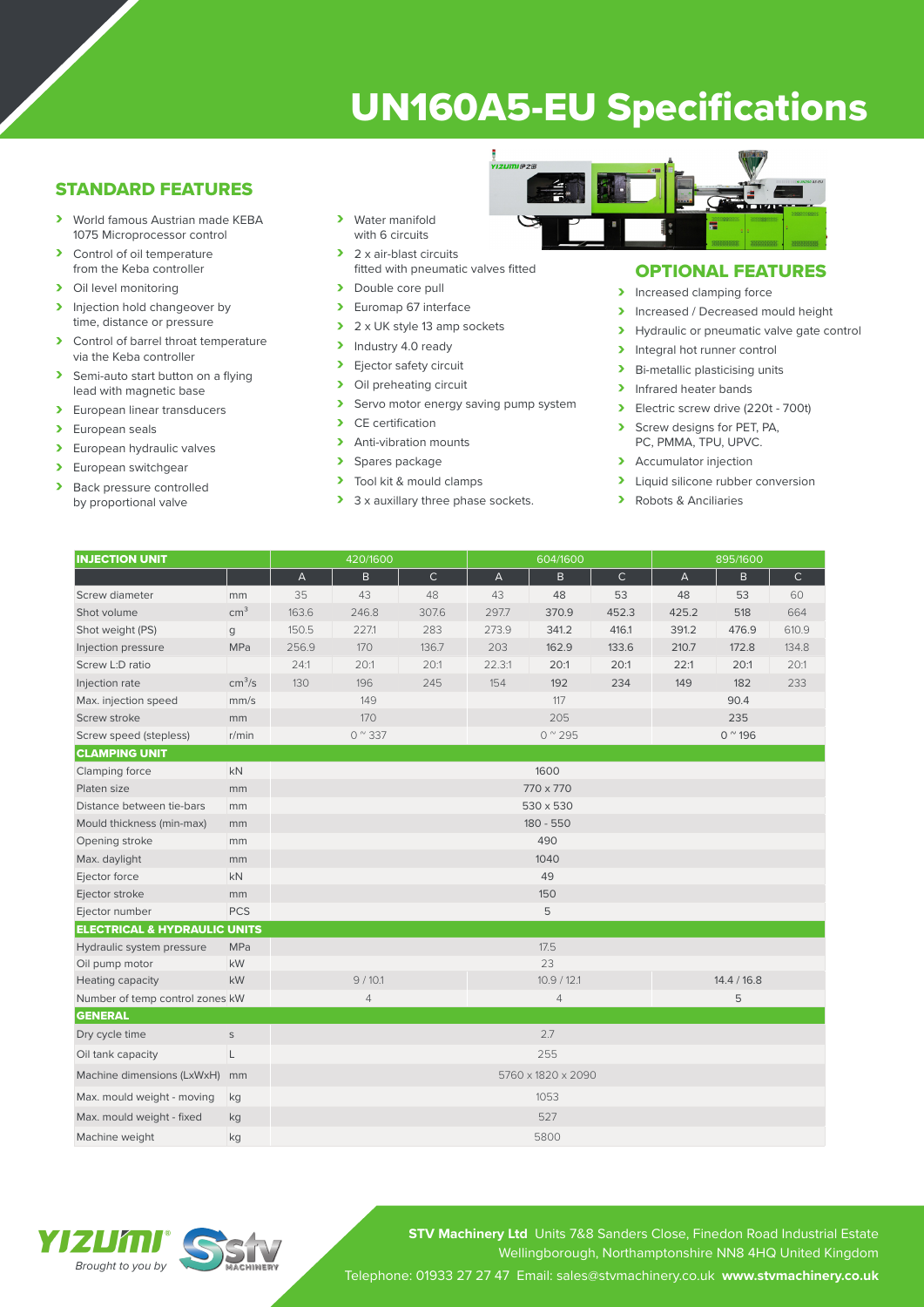# UN160A5-EU Specifications

## STANDARD FEATURES

- › World famous Austrian made KEBA 1075 Microprocessor control
- > Control of oil temperature from the Keba controller
- > Oil level monitoring
- > Injection hold changeover by time, distance or pressure
- > Control of barrel throat temperature via the Keba controller
- > Semi-auto start button on a flying lead with magnetic base
- > European linear transducers
- > European seals
- > European hydraulic valves
- > European switchgear<br>
> Back pressure control
- Back pressure controlled by proportional valve
- › Water manifold with 6 circuits
- > 2 x air-blast circuits fitted with pneumatic valves fitted
- > Double core pull
- > Euromap 67 interface
- $\geq 2 \times UK$  style 13 amp sockets<br>  $\geq 1$ ndustry 4.0 ready
- Industry 4.0 ready
- > Ejector safety circuit<br>> Oil preheating circuit
- Oil preheating circuit
- > Servo motor energy saving pump system<br>
> CE certification
- CE certification
- > Anti-vibration mounts
- > Spares package<br>> Tool kit & mould
- Tool kit & mould clamps
- > 3 x auxillary three phase sockets.



## OPTIONAL FEATURES

- > Increased clamping force
- Increased / Decreased mould height<br>
Inverted in or preumatic valve gate contracts
- Hydraulic or pneumatic valve gate control
- > Integral hot runner control
- > Bi-metallic plasticising units
- > Infrared heater bands
- › Electric screw drive (220t 700t)
- Screw designs for PET, PA, PC, PMMA, TPU, UPVC.
- > Accumulator injection
- > Liquid silicone rubber conversion
- › Robots & Anciliaries

| <b>INJECTION UNIT</b>                   |                    | 420/1600                  |              |              | 604/1600               |       |             | 895/1600               |       |              |
|-----------------------------------------|--------------------|---------------------------|--------------|--------------|------------------------|-------|-------------|------------------------|-------|--------------|
|                                         |                    | $\boldsymbol{\mathsf{A}}$ | $\mathsf{B}$ | $\mathsf{C}$ | $\overline{A}$         | B     | $\mathsf C$ | $\overline{A}$         | B     | $\mathsf{C}$ |
| Screw diameter                          | mm                 | 35                        | 43           | 48           | 43                     | 48    | 53          | 48                     | 53    | 60           |
| Shot volume                             | cm <sup>3</sup>    | 163.6                     | 246.8        | 307.6        | 297.7                  | 370.9 | 452.3       | 425.2                  | 518   | 664          |
| Shot weight (PS)                        | g                  | 150.5                     | 227.1        | 283          | 273.9                  | 341.2 | 416.1       | 391.2                  | 476.9 | 610.9        |
| Injection pressure                      | <b>MPa</b>         | 256.9                     | 170          | 136.7        | 203                    | 162.9 | 133.6       | 210.7                  | 172.8 | 134.8        |
| Screw L:D ratio                         |                    | 24:1                      | 20:1         | 20:1         | 22.3:1                 | 20:1  | 20:1        | 22:1                   | 20:1  | 20:1         |
| Injection rate                          | cm <sup>3</sup> /s | 130                       | 196          | 245          | 154                    | 192   | 234         | 149                    | 182   | 233          |
| Max. injection speed                    | mm/s               | 149                       |              |              | 117                    |       |             | 90.4                   |       |              |
| Screw stroke                            | mm                 | 170                       |              |              | 205                    |       |             | 235                    |       |              |
| Screw speed (stepless)                  | r/min              | $0^{\circ}337$            |              |              | $0^{\prime\prime}$ 295 |       |             | $0^{\prime\prime}$ 196 |       |              |
| <b>CLAMPING UNIT</b>                    |                    |                           |              |              |                        |       |             |                        |       |              |
| Clamping force                          | <b>kN</b>          | 1600                      |              |              |                        |       |             |                        |       |              |
| Platen size                             | mm                 | 770 x 770                 |              |              |                        |       |             |                        |       |              |
| Distance between tie-bars               | mm                 | 530 x 530                 |              |              |                        |       |             |                        |       |              |
| Mould thickness (min-max)               | mm                 | 180 - 550                 |              |              |                        |       |             |                        |       |              |
| Opening stroke                          | mm                 | 490                       |              |              |                        |       |             |                        |       |              |
| Max. daylight                           | mm                 | 1040                      |              |              |                        |       |             |                        |       |              |
| Ejector force                           | kN                 | 49                        |              |              |                        |       |             |                        |       |              |
| Ejector stroke                          | mm                 | 150                       |              |              |                        |       |             |                        |       |              |
| Ejector number                          | <b>PCS</b>         |                           |              |              | 5                      |       |             |                        |       |              |
| <b>ELECTRICAL &amp; HYDRAULIC UNITS</b> |                    |                           |              |              |                        |       |             |                        |       |              |
| Hydraulic system pressure               | MPa                |                           |              |              |                        | 17.5  |             |                        |       |              |
| Oil pump motor                          | kW                 |                           |              |              | 23                     |       |             |                        |       |              |
| Heating capacity                        | kW                 | 9/10.1                    |              |              | 10.9 / 12.1            |       |             | 14.4 / 16.8            |       |              |
| Number of temp control zones kW         |                    | $\overline{4}$            |              |              | $\overline{4}$         |       |             | 5                      |       |              |
| <b>GENERAL</b>                          |                    |                           |              |              |                        |       |             |                        |       |              |
| Dry cycle time                          | $\mathsf S$        | 2.7                       |              |              |                        |       |             |                        |       |              |
| Oil tank capacity                       | L                  | 255                       |              |              |                        |       |             |                        |       |              |
| Machine dimensions (LxWxH)              | mm                 | 5760 x 1820 x 2090        |              |              |                        |       |             |                        |       |              |
| Max. mould weight - moving              | kg                 | 1053                      |              |              |                        |       |             |                        |       |              |
| Max. mould weight - fixed               | kg                 | 527                       |              |              |                        |       |             |                        |       |              |
| Machine weight                          | kg                 | 5800                      |              |              |                        |       |             |                        |       |              |

YEZEKILL *Brought to you by*



**STV Machinery Ltd** Units 7&8 Sanders Close, Finedon Road Industrial Estate Wellingborough, Northamptonshire NN8 4HQ United Kingdom Telephone: 01933 27 27 47 Email: sales@stvmachinery.co.uk **www.stvmachinery.co.uk**